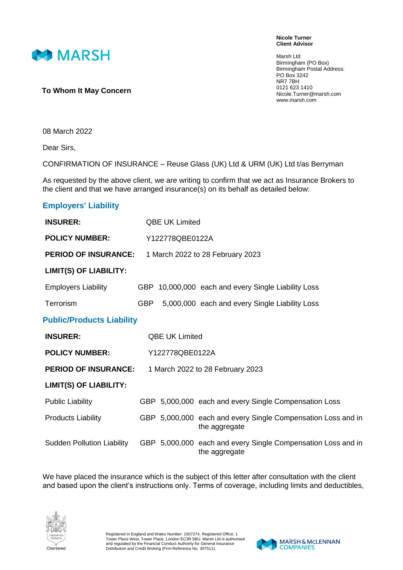

**Nicole Turner Client Advisor**

Marsh Ltd Birmingham (PO Box) Birmingham Postal Address: PO Box 3242 NR7 7BH 0121 623 1410 Nicole.Turner@marsh.com www.marsh.com

## **To Whom It May Concern**

08 March 2022

Dear Sirs,

CONFIRMATION OF INSURANCE – Reuse Glass (UK) Ltd & URM (UK) Ltd t/as Berryman

As requested by the above client, we are writing to confirm that we act as Insurance Brokers to the client and that we have arranged insurance(s) on its behalf as detailed below:

## **Employers' Liability**

| <b>INSURER:</b>                   | <b>QBE UK Limited</b>            |                       |                                                                               |  |
|-----------------------------------|----------------------------------|-----------------------|-------------------------------------------------------------------------------|--|
| <b>POLICY NUMBER:</b>             | Y122778QBE0122A                  |                       |                                                                               |  |
| <b>PERIOD OF INSURANCE:</b>       | 1 March 2022 to 28 February 2023 |                       |                                                                               |  |
| <b>LIMIT(S) OF LIABILITY:</b>     |                                  |                       |                                                                               |  |
| <b>Employers Liability</b>        |                                  |                       | GBP 10,000,000 each and every Single Liability Loss                           |  |
| Terrorism                         | <b>GBP</b>                       |                       | 5,000,000 each and every Single Liability Loss                                |  |
| <b>Public/Products Liability</b>  |                                  |                       |                                                                               |  |
| <b>INSURER:</b>                   |                                  | <b>QBE UK Limited</b> |                                                                               |  |
| <b>POLICY NUMBER:</b>             | Y122778QBE0122A                  |                       |                                                                               |  |
| <b>PERIOD OF INSURANCE:</b>       | 1 March 2022 to 28 February 2023 |                       |                                                                               |  |
| <b>LIMIT(S) OF LIABILITY:</b>     |                                  |                       |                                                                               |  |
| Public Liability                  |                                  |                       | GBP 5,000,000 each and every Single Compensation Loss                         |  |
| <b>Products Liability</b>         |                                  |                       | GBP 5,000,000 each and every Single Compensation Loss and in<br>the aggregate |  |
| <b>Sudden Pollution Liability</b> |                                  |                       | GBP 5,000,000 each and every Single Compensation Loss and in<br>the aggregate |  |

We have placed the insurance which is the subject of this letter after consultation with the client and based upon the client's instructions only. Terms of coverage, including limits and deductibles,